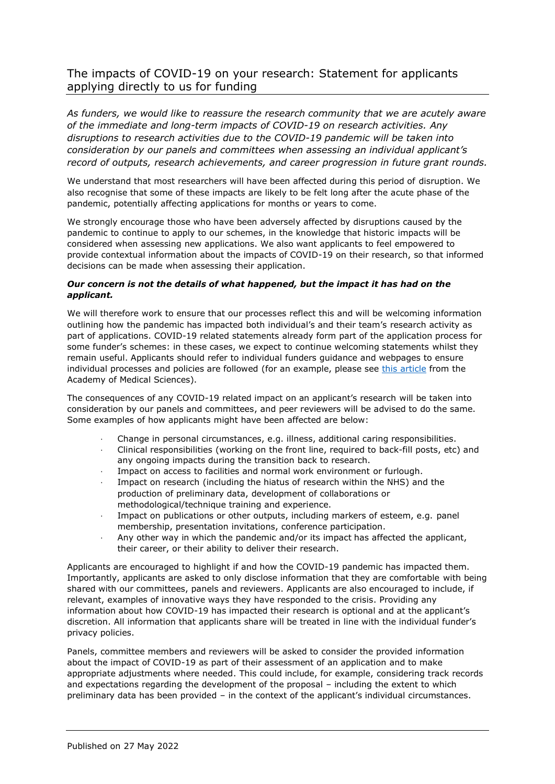## The impacts of COVID-19 on your research: Statement for applicants applying directly to us for funding

*As funders, we would like to reassure the research community that we are acutely aware of the immediate and long-term impacts of COVID-19 on research activities. Any disruptions to research activities due to the COVID-19 pandemic will be taken into consideration by our panels and committees when assessing an individual applicant's record of outputs, research achievements, and career progression in future grant rounds.*

We understand that most researchers will have been affected during this period of disruption. We also recognise that some of these impacts are likely to be felt long after the acute phase of the pandemic, potentially affecting applications for months or years to come.

We strongly encourage those who have been adversely affected by disruptions caused by the pandemic to continue to apply to our schemes, in the knowledge that historic impacts will be considered when assessing new applications. We also want applicants to feel empowered to provide contextual information about the impacts of COVID-19 on their research, so that informed decisions can be made when assessing their application.

## *Our concern is not the details of what happened, but the impact it has had on the applicant.*

We will therefore work to ensure that our processes reflect this and will be welcoming information outlining how the pandemic has impacted both individual's and their team's research activity as part of applications. COVID-19 related statements already form part of the application process for some funder's schemes: in these cases, we expect to continue welcoming statements whilst they remain useful. Applicants should refer to individual funders guidance and webpages to ensure individual processes and policies are followed (for an example, please see [this article](https://acmedsci.ac.uk/more/news/top-tips-for-factoring-covid-19-into-grant-applications) from the Academy of Medical Sciences).

The consequences of any COVID-19 related impact on an applicant's research will be taken into consideration by our panels and committees, and peer reviewers will be advised to do the same. Some examples of how applicants might have been affected are below:

- · Change in personal circumstances, e.g. illness, additional caring responsibilities.
- · Clinical responsibilities (working on the front line, required to back-fill posts, etc) and any ongoing impacts during the transition back to research.
- Impact on access to facilities and normal work environment or furlough.
- Impact on research (including the hiatus of research within the NHS) and the production of preliminary data, development of collaborations or methodological/technique training and experience.
- Impact on publications or other outputs, including markers of esteem, e.g. panel membership, presentation invitations, conference participation.
- · Any other way in which the pandemic and/or its impact has affected the applicant, their career, or their ability to deliver their research.

Applicants are encouraged to highlight if and how the COVID-19 pandemic has impacted them. Importantly, applicants are asked to only disclose information that they are comfortable with being shared with our committees, panels and reviewers. Applicants are also encouraged to include, if relevant, examples of innovative ways they have responded to the crisis. Providing any information about how COVID-19 has impacted their research is optional and at the applicant's discretion. All information that applicants share will be treated in line with the individual funder's privacy policies.

Panels, committee members and reviewers will be asked to consider the provided information about the impact of COVID-19 as part of their assessment of an application and to make appropriate adjustments where needed. This could include, for example, considering track records and expectations regarding the development of the proposal – including the extent to which preliminary data has been provided – in the context of the applicant's individual circumstances.